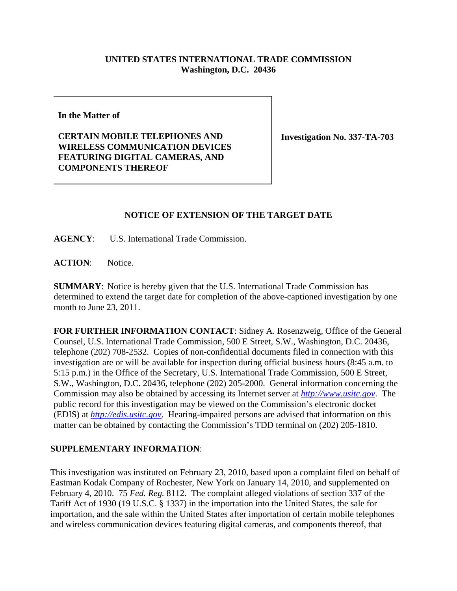## **UNITED STATES INTERNATIONAL TRADE COMMISSION Washington, D.C. 20436**

**In the Matter of** 

**CERTAIN MOBILE TELEPHONES AND WIRELESS COMMUNICATION DEVICES FEATURING DIGITAL CAMERAS, AND COMPONENTS THEREOF**

**Investigation No. 337-TA-703**

## **NOTICE OF EXTENSION OF THE TARGET DATE**

**AGENCY**: U.S. International Trade Commission.

ACTION: Notice.

**SUMMARY**: Notice is hereby given that the U.S. International Trade Commission has determined to extend the target date for completion of the above-captioned investigation by one month to June 23, 2011.

**FOR FURTHER INFORMATION CONTACT**: Sidney A. Rosenzweig, Office of the General Counsel, U.S. International Trade Commission, 500 E Street, S.W., Washington, D.C. 20436, telephone (202) 708-2532. Copies of non-confidential documents filed in connection with this investigation are or will be available for inspection during official business hours (8:45 a.m. to 5:15 p.m.) in the Office of the Secretary, U.S. International Trade Commission, 500 E Street, S.W., Washington, D.C. 20436, telephone (202) 205-2000. General information concerning the Commission may also be obtained by accessing its Internet server at *http://www.usitc.gov*. The public record for this investigation may be viewed on the Commission's electronic docket (EDIS) at *http://edis.usitc.gov*. Hearing-impaired persons are advised that information on this matter can be obtained by contacting the Commission's TDD terminal on (202) 205-1810.

## **SUPPLEMENTARY INFORMATION**:

This investigation was instituted on February 23, 2010, based upon a complaint filed on behalf of Eastman Kodak Company of Rochester, New York on January 14, 2010, and supplemented on February 4, 2010. 75 *Fed. Reg.* 8112. The complaint alleged violations of section 337 of the Tariff Act of 1930 (19 U.S.C. § 1337) in the importation into the United States, the sale for importation, and the sale within the United States after importation of certain mobile telephones and wireless communication devices featuring digital cameras, and components thereof, that